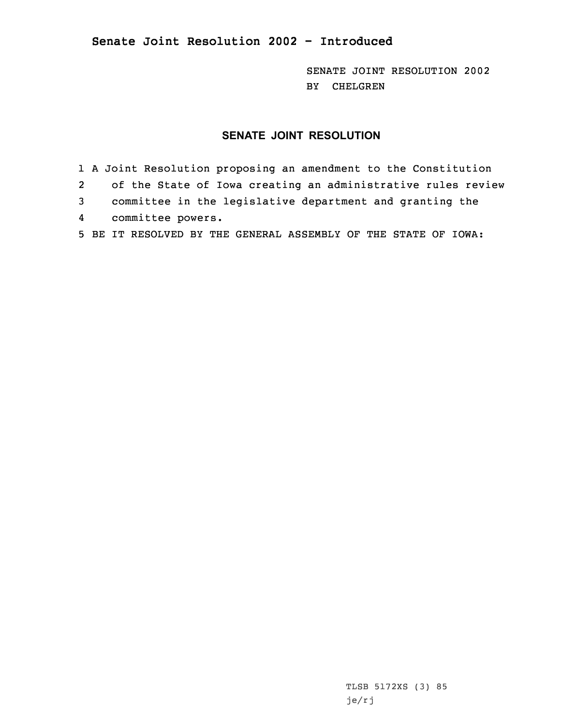**Senate Joint Resolution 2002 - Introduced**

SENATE JOINT RESOLUTION 2002 BY CHELGREN

## **SENATE JOINT RESOLUTION**

1 <sup>A</sup> Joint Resolution proposing an amendment to the Constitution 2 of the State of Iowa creating an administrative rules review 3 committee in the legislative department and granting the 4 committee powers. 5 BE IT RESOLVED BY THE GENERAL ASSEMBLY OF THE STATE OF IOWA:

> TLSB 5172XS (3) 85 je/rj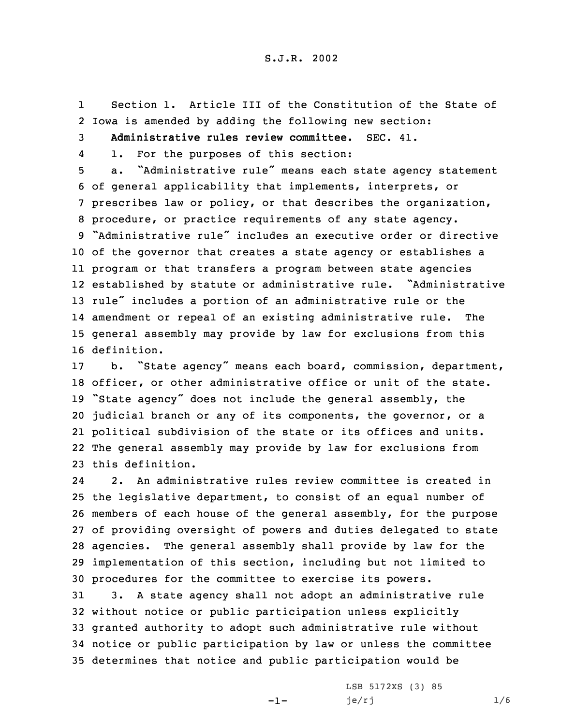1 Section 1. Article III of the Constitution of the State of 2 Iowa is amended by adding the following new section:

3 **Administrative rules review committee.** SEC. 41.

4

1. For the purposes of this section:

 a. "Administrative rule" means each state agency statement of general applicability that implements, interprets, or prescribes law or policy, or that describes the organization, procedure, or practice requirements of any state agency. "Administrative rule" includes an executive order or directive of the governor that creates <sup>a</sup> state agency or establishes <sup>a</sup> program or that transfers <sup>a</sup> program between state agencies established by statute or administrative rule. "Administrative rule" includes <sup>a</sup> portion of an administrative rule or the amendment or repeal of an existing administrative rule. The general assembly may provide by law for exclusions from this definition.

 b. "State agency" means each board, commission, department, officer, or other administrative office or unit of the state. "State agency" does not include the general assembly, the judicial branch or any of its components, the governor, or <sup>a</sup> political subdivision of the state or its offices and units. The general assembly may provide by law for exclusions from this definition.

24 2. An administrative rules review committee is created in the legislative department, to consist of an equal number of members of each house of the general assembly, for the purpose of providing oversight of powers and duties delegated to state agencies. The general assembly shall provide by law for the implementation of this section, including but not limited to procedures for the committee to exercise its powers.

 3. <sup>A</sup> state agency shall not adopt an administrative rule without notice or public participation unless explicitly granted authority to adopt such administrative rule without notice or public participation by law or unless the committee determines that notice and public participation would be

-1-

LSB 5172XS (3) 85 je/rj  $1/6$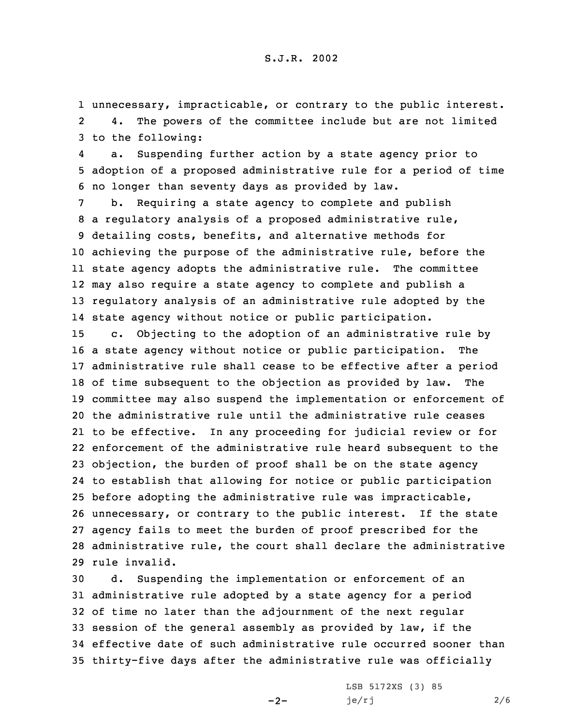1 unnecessary, impracticable, or contrary to the public interest. 2 4. The powers of the committee include but are not limited 3 to the following:

4 a. Suspending further action by <sup>a</sup> state agency prior to 5 adoption of <sup>a</sup> proposed administrative rule for <sup>a</sup> period of time 6 no longer than seventy days as provided by law.

 b. Requiring <sup>a</sup> state agency to complete and publish <sup>a</sup> regulatory analysis of <sup>a</sup> proposed administrative rule, detailing costs, benefits, and alternative methods for achieving the purpose of the administrative rule, before the state agency adopts the administrative rule. The committee may also require <sup>a</sup> state agency to complete and publish <sup>a</sup> regulatory analysis of an administrative rule adopted by the state agency without notice or public participation.

 c. Objecting to the adoption of an administrative rule by <sup>a</sup> state agency without notice or public participation. The administrative rule shall cease to be effective after <sup>a</sup> period of time subsequent to the objection as provided by law. The committee may also suspend the implementation or enforcement of the administrative rule until the administrative rule ceases to be effective. In any proceeding for judicial review or for enforcement of the administrative rule heard subsequent to the objection, the burden of proof shall be on the state agency to establish that allowing for notice or public participation before adopting the administrative rule was impracticable, unnecessary, or contrary to the public interest. If the state agency fails to meet the burden of proof prescribed for the administrative rule, the court shall declare the administrative rule invalid.

 d. Suspending the implementation or enforcement of an administrative rule adopted by <sup>a</sup> state agency for <sup>a</sup> period of time no later than the adjournment of the next regular session of the general assembly as provided by law, if the effective date of such administrative rule occurred sooner than thirty-five days after the administrative rule was officially

 $-2-$ 

LSB 5172XS (3) 85  $je/rj$  2/6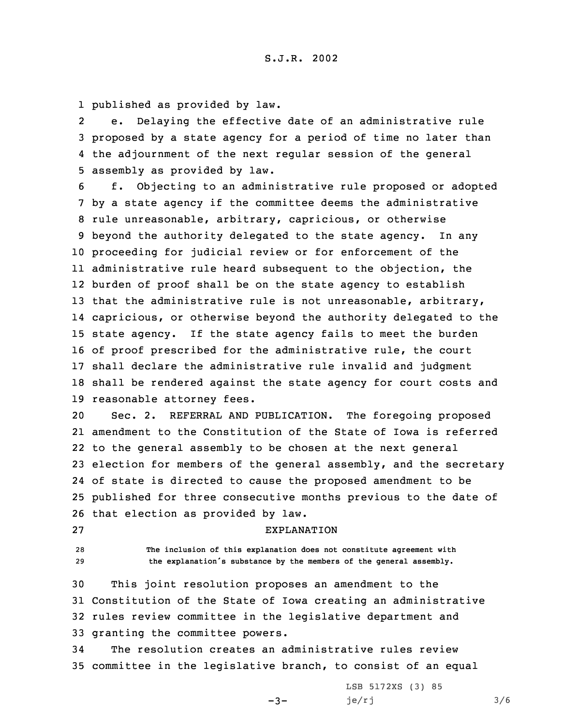1 published as provided by law.

2 e. Delaying the effective date of an administrative rule 3 proposed by <sup>a</sup> state agency for <sup>a</sup> period of time no later than 4 the adjournment of the next regular session of the general 5 assembly as provided by law.

 f. Objecting to an administrative rule proposed or adopted by <sup>a</sup> state agency if the committee deems the administrative rule unreasonable, arbitrary, capricious, or otherwise beyond the authority delegated to the state agency. In any proceeding for judicial review or for enforcement of the administrative rule heard subsequent to the objection, the burden of proof shall be on the state agency to establish 13 that the administrative rule is not unreasonable, arbitrary, capricious, or otherwise beyond the authority delegated to the state agency. If the state agency fails to meet the burden of proof prescribed for the administrative rule, the court shall declare the administrative rule invalid and judgment shall be rendered against the state agency for court costs and reasonable attorney fees.

 Sec. 2. REFERRAL AND PUBLICATION. The foregoing proposed amendment to the Constitution of the State of Iowa is referred to the general assembly to be chosen at the next general election for members of the general assembly, and the secretary of state is directed to cause the proposed amendment to be published for three consecutive months previous to the date of that election as provided by law.

27 EXPLANATION

28 **The inclusion of this explanation does not constitute agreement with** <sup>29</sup> **the explanation's substance by the members of the general assembly.**

 This joint resolution proposes an amendment to the Constitution of the State of Iowa creating an administrative rules review committee in the legislative department and granting the committee powers.

34 The resolution creates an administrative rules review 35 committee in the legislative branch, to consist of an equal

 $-3-$ 

LSB 5172XS (3) 85  $je/rj$  3/6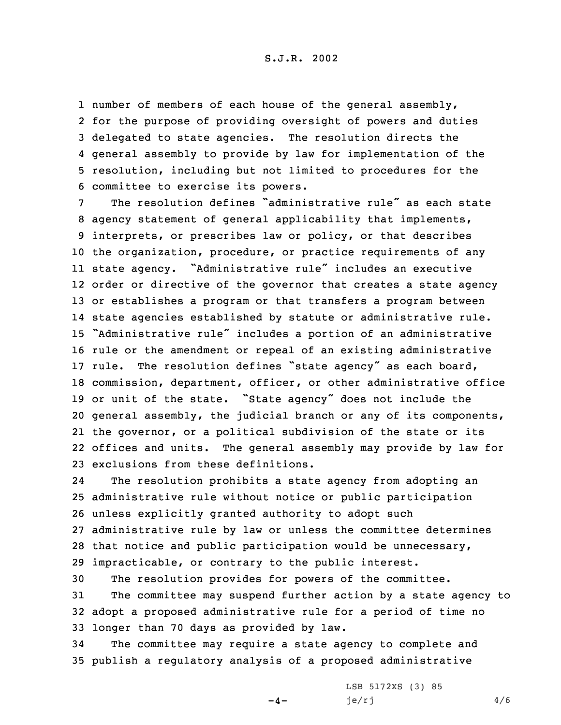## S.J.R. 2002

1 number of members of each house of the general assembly, for the purpose of providing oversight of powers and duties delegated to state agencies. The resolution directs the general assembly to provide by law for implementation of the resolution, including but not limited to procedures for the committee to exercise its powers.

 The resolution defines "administrative rule" as each state agency statement of general applicability that implements, interprets, or prescribes law or policy, or that describes the organization, procedure, or practice requirements of any state agency. "Administrative rule" includes an executive order or directive of the governor that creates <sup>a</sup> state agency or establishes <sup>a</sup> program or that transfers <sup>a</sup> program between state agencies established by statute or administrative rule. "Administrative rule" includes <sup>a</sup> portion of an administrative rule or the amendment or repeal of an existing administrative rule. The resolution defines "state agency" as each board, commission, department, officer, or other administrative office or unit of the state. "State agency" does not include the general assembly, the judicial branch or any of its components, the governor, or <sup>a</sup> political subdivision of the state or its offices and units. The general assembly may provide by law for exclusions from these definitions.

24 The resolution prohibits <sup>a</sup> state agency from adopting an administrative rule without notice or public participation unless explicitly granted authority to adopt such administrative rule by law or unless the committee determines that notice and public participation would be unnecessary, impracticable, or contrary to the public interest.

 The resolution provides for powers of the committee. The committee may suspend further action by <sup>a</sup> state agency to adopt <sup>a</sup> proposed administrative rule for <sup>a</sup> period of time no longer than 70 days as provided by law.

34 The committee may require <sup>a</sup> state agency to complete and 35 publish <sup>a</sup> regulatory analysis of <sup>a</sup> proposed administrative

 $-4-$ 

LSB 5172XS (3) 85 je/rj  $4/6$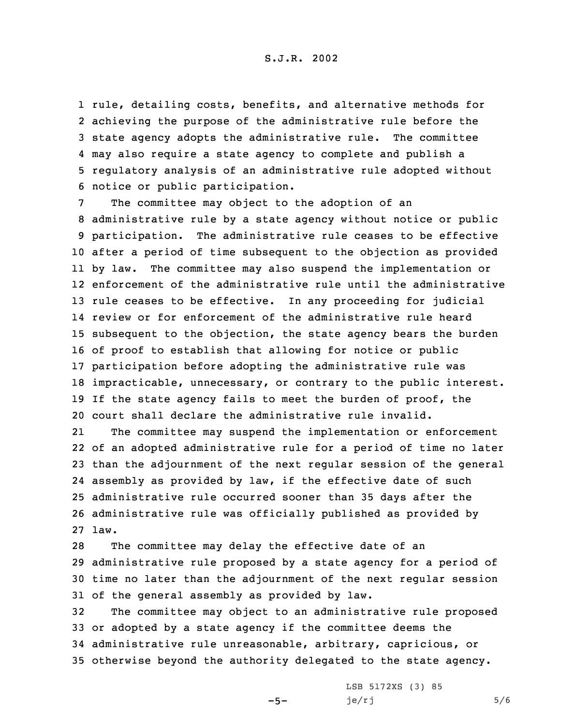S.J.R. 2002

 rule, detailing costs, benefits, and alternative methods for achieving the purpose of the administrative rule before the state agency adopts the administrative rule. The committee may also require <sup>a</sup> state agency to complete and publish <sup>a</sup> regulatory analysis of an administrative rule adopted without notice or public participation.

 The committee may object to the adoption of an administrative rule by <sup>a</sup> state agency without notice or public participation. The administrative rule ceases to be effective after <sup>a</sup> period of time subsequent to the objection as provided by law. The committee may also suspend the implementation or enforcement of the administrative rule until the administrative rule ceases to be effective. In any proceeding for judicial review or for enforcement of the administrative rule heard subsequent to the objection, the state agency bears the burden of proof to establish that allowing for notice or public participation before adopting the administrative rule was impracticable, unnecessary, or contrary to the public interest. 19 If the state agency fails to meet the burden of proof, the court shall declare the administrative rule invalid.

21 The committee may suspend the implementation or enforcement of an adopted administrative rule for <sup>a</sup> period of time no later than the adjournment of the next regular session of the general assembly as provided by law, if the effective date of such administrative rule occurred sooner than 35 days after the administrative rule was officially published as provided by 27 law.

 The committee may delay the effective date of an administrative rule proposed by <sup>a</sup> state agency for <sup>a</sup> period of time no later than the adjournment of the next regular session of the general assembly as provided by law.

 The committee may object to an administrative rule proposed or adopted by <sup>a</sup> state agency if the committee deems the administrative rule unreasonable, arbitrary, capricious, or otherwise beyond the authority delegated to the state agency.

 $-5-$ 

LSB 5172XS (3) 85  $je/rj$  5/6